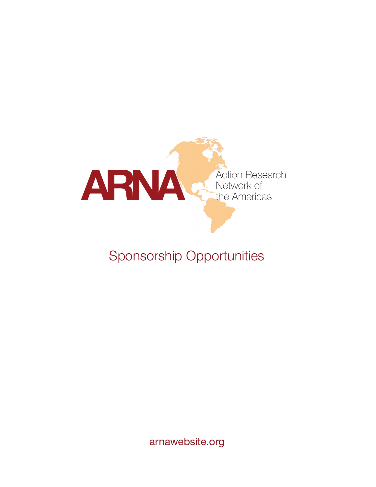

# Sponsorship Opportunities

arnawebsite.org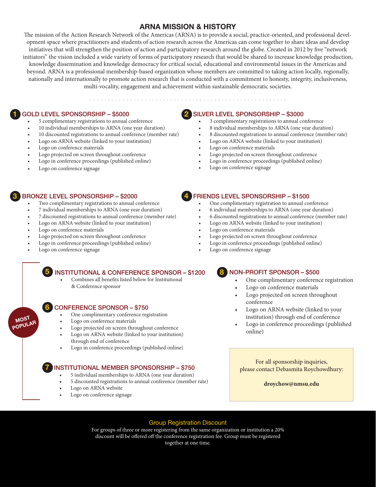## **ARNA MISSION & HISTORY**

The mission of the Action Research Network of the Americas (ARNA) is to provide a social, practice-oriented, and professional development space where practitioners and students of action research across the Americas can come together to share ideas and develop initiatives that will strengthen the position of action and participatory research around the globe. Created in 2012 by five "network initiators" the vision included a wide variety of forms of participatory research that would be shared to increase knowledge production, knowledge dissemination and knowledge democracy for critical social, educational and environmental issues in the Americas and beyond. ARNA is a professional membership-based organization whose members are committed to taking action locally, regionally, nationally and internationally to promote action research that is conducted with a commitment to honesty, integrity, inclusiveness, multi-vocality, engagement and achievement within sustainable democratic societies.

# GOLD LEVEL SPONSORSHIP – \$5000 **1 2**

- 5 complimentary registrations to annual conference
- 10 individual memberships to ARNA (one year duration)
- 10 discounted registrations to annual conference (member rate)
- Logo on ARNA website (linked to your institution)
- Logo on conference materials
- Logo projected on screen throughout conference
- Logo in conference proceedings (published online)
- Logo on conference signage

## BRONZE LEVEL SPONSORSHIP – \$2000 **3 4**

- Two complimentary registrations to annual conference
- 7 individual memberships to ARNA (one year duration)
- 7 discounted registrations to annual conference (member rate)
- Logo on ARNA website (linked to your institution)
- Logo on conference materials
- Logo projected on screen throughout conference
- Logo in conference proceedings (published online)
- Logo on conference signage

**5**

**MOST POPULAR**

**7**

### SILVER LEVEL SPONSORSHIP – \$3000

• 3 complimentary registrations to annual conference

. . . . . . . . . . . . . . . . .

- 8 individual memberships to ARNA (one year duration)
- 8 discounted registrations to annual conference (member rate)
- Logo on ARNA website (linked to your institution)
- Logo on conference materials
- Logo projected on screen throughout conference
- Logo in conference proceedings (published online)
- Logo on conference signage

### FRIENDS LEVEL SPONSORSHIP – \$1500

- One complimentary registration to annual conference
- 6 individual memberships to ARNA (one year duration)
- 6 discounted registrations to annual conference (member rate)
- Logo on ARNA website (linked to your institution)
- Logo on conference materials
- Logo projected on screen throughout conference
- Logo in conference proceedings (published online)
- Logo on conference signage

### INSTITUTIONAL & CONFERENCE SPONSOR – \$1200

• Combines all benefits listed below for Institutional & Conference sponsor

### CONFERENCE SPONSOR – \$750 **6**

- One complimentary conference registration
- Logo on conference materials
- Logo projected on screen throughout conference
- Logo on ARNA website (linked to your institution) through end of conference
- Logo in conference proceedings (published online)

### INSTITUTIONAL MEMBER SPONSORSHIP – \$750

- 5 individual memberships to ARNA (one year duration)
- 5 discounted registrations to annual conference (member rate)
- Logo on ARNA website
- Logo on conference signage

### NON-PROFIT SPONSOR – \$500 **8**

- One complimentary conference registration
- Logo on conference materials
- Logo projected on screen throughout conference
- Logo on ARNA website (linked to your institution) through end of conference
- Logo in conference proceedings (published online)

For all sponsorship inquiries, please contact Debasmita Roychowdhury:

**droychow@nmsu.edu**

### Group Registration Discount

For groups of three or more registering from the same organization or institution a 20% discount will be offered off the conference registration fee. Group must be registered together at one time.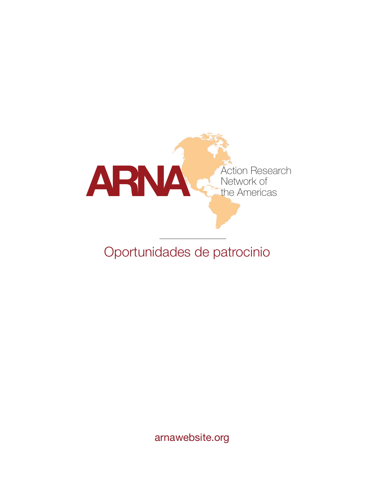

# Oportunidades de patrocinio

arnawebsite.org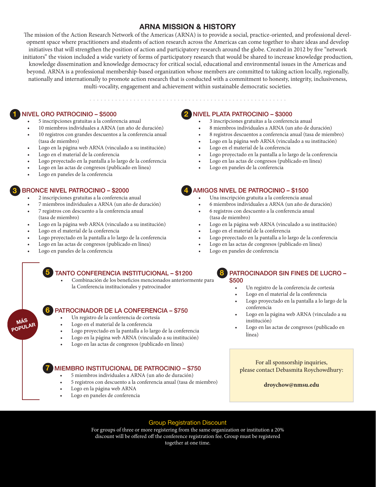## **ARNA MISSION & HISTORY**

The mission of the Action Research Network of the Americas (ARNA) is to provide a social, practice-oriented, and professional development space where practitioners and students of action research across the Americas can come together to share ideas and develop initiatives that will strengthen the position of action and participatory research around the globe. Created in 2012 by five "network initiators" the vision included a wide variety of forms of participatory research that would be shared to increase knowledge production, knowledge dissemination and knowledge democracy for critical social, educational and environmental issues in the Americas and beyond. ARNA is a professional membership-based organization whose members are committed to taking action locally, regionally, nationally and internationally to promote action research that is conducted with a commitment to honesty, integrity, inclusiveness, multi-vocality, engagement and achievement within sustainable democratic societies.

## NIVEL ORO PATROCINIO – \$5000 **1 2**

- 5 inscripciones gratuitas a la conferencia anual
- 10 miembros individuales a ARNA (un año de duración)
- 10 registros con grandes descuentos a la conferencia anual (tasa de miembro)
- Logo en la página web ARNA (vinculado a su institución)
- Logo en el material de la conferencia
- Logo proyectado en la pantalla a lo largo de la conferencia
- Logo en las actas de congresos (publicado en línea)
- Logo en paneles de la conferencia

## BRONCE NIVEL PATROCINIO – \$2000 **3 4**

- 2 inscripciones gratuitas a la conferencia anual
- 7 miembros individuales a ARNA (un año de duración)
- 7 registros con descuento a la conferencia anual (tasa de miembro)
- Logo en la página web ARNA (vinculado a su institución)
- Logo en el material de la conferencia
- Logo proyectado en la pantalla a lo largo de la conferencia
- Logo en las actas de congresos (publicado en línea)
- Logo en paneles de la conferencia

**5**

**7**

**MÁS POPULAR**

# TANTO CONFERENCIA INSTITUCIONAL – \$1200

• Combinación de los beneficios mencionados anteriormente para la Conferencia institucionales y patrocinador

### PATROCINADOR DE LA CONFERENCIA – \$750 **6**

- Un registro de la conferencia de cortesía
- Logo en el material de la conferencia
- Logo proyectado en la pantalla a lo largo de la conferencia
- Logo en la página web ARNA (vinculado a su institución)
- Logo en las actas de congresos (publicado en línea)

### MIEMBRO INSTITUCIONAL DE PATROCINIO – \$750

- 5 miembros individuales a ARNA (un año de duración)
- 5 registros con descuento a la conferencia anual (tasa de miembro)
- Logo en la página web ARNA
- Logo en paneles de conferencia

### NIVEL PLATA PATROCINIO – \$3000

- 3 inscripciones gratuitas a la conferencia anual
- 8 miembros individuales a ARNA (un año de duración)
- 8 registros descuentos a conferencia anual (tasa de miembro)
- Logo en la página web ARNA (vinculado a su institución)
- Logo en el material de la conferencia
- Logo proyectado en la pantalla a lo largo de la conferencia
- Logo en las actas de congresos (publicado en línea)
- Logo en paneles de la conferencia

### AMIGOS NIVEL DE PATROCINIO – \$1500

- Una inscripción gratuita a la conferencia anual
- 6 miembros individuales a ARNA (un año de duración)
- 6 registros con descuento a la conferencia anual (tasa de miembro)
- Logo en la página web ARNA (vinculado a su institución)
- Logo en el material de la conferencia
- Logo proyectado en la pantalla a lo largo de la conferencia
- Logo en las actas de congresos (publicado en línea)
- Logo en paneles de conferencia

### PATROCINADOR SIN FINES DE LUCRO – \$500 **8**

- Un registro de la conferencia de cortesía
- Logo en el material de la conferencia
- Logo proyectado en la pantalla a lo largo de la conferencia
- Logo en la página web ARNA (vinculado a su institución)
- Logo en las actas de congresos (publicado en línea)

For all sponsorship inquiries, please contact Debasmita Roychowdhury:

**droychow@nmsu.edu**

### Group Registration Discount

For groups of three or more registering from the same organization or institution a 20% discount will be offered off the conference registration fee. Group must be registered together at one time.